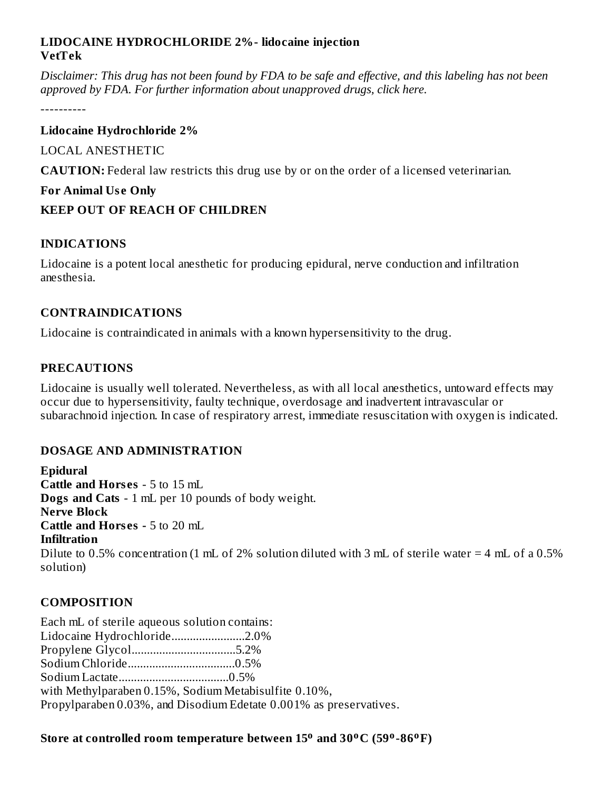#### **LIDOCAINE HYDROCHLORIDE 2%- lidocaine injection VetTek**

Disclaimer: This drug has not been found by FDA to be safe and effective, and this labeling has not been *approved by FDA. For further information about unapproved drugs, click here.*

----------

#### **Lidocaine Hydrochloride 2%**

LOCAL ANESTHETIC

**CAUTION:** Federal law restricts this drug use by or on the order of a licensed veterinarian.

### **For Animal Us e Only**

### **KEEP OUT OF REACH OF CHILDREN**

### **INDICATIONS**

Lidocaine is a potent local anesthetic for producing epidural, nerve conduction and infiltration anesthesia.

### **CONTRAINDICATIONS**

Lidocaine is contraindicated in animals with a known hypersensitivity to the drug.

## **PRECAUTIONS**

Lidocaine is usually well tolerated. Nevertheless, as with all local anesthetics, untoward effects may occur due to hypersensitivity, faulty technique, overdosage and inadvertent intravascular or subarachnoid injection. In case of respiratory arrest, immediate resuscitation with oxygen is indicated.

### **DOSAGE AND ADMINISTRATION**

**Epidural Cattle and Hors es** - 5 to 15 mL **Dogs and Cats** - 1 mL per 10 pounds of body weight. **Nerve Block Cattle and Hors es -** 5 to 20 mL **Infiltration** Dilute to 0.5% concentration (1 mL of 2% solution diluted with 3 mL of sterile water = 4 mL of a 0.5% solution)

# **COMPOSITION**

Each mL of sterile aqueous solution contains: Lidocaine Hydrochloride........................2.0% Propylene Glycol..................................5.2% Sodium Chloride...................................0.5% Sodium Lactate....................................0.5% with Methylparaben 0.15%, Sodium Metabisulfite 0.10%, Propylparaben 0.03%, and Disodium Edetate 0.001% as preservatives.

### **Store at controlled room temperature between 15 and 30 C (59 -86 F) o o o o**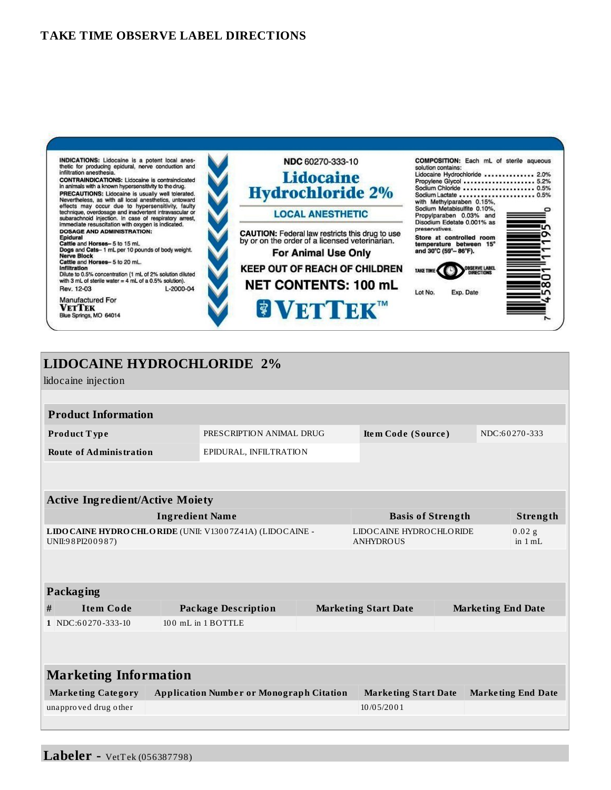

## **LIDOCAINE HYDROCHLORIDE 2%**

lidocaine injection

| <b>Product Information</b>                                                      |                            |                             |                                             |                           |                           |                       |
|---------------------------------------------------------------------------------|----------------------------|-----------------------------|---------------------------------------------|---------------------------|---------------------------|-----------------------|
| PRESCRIPTION ANIMAL DRUG<br>Product Type                                        |                            |                             | Item Code (Source)                          |                           | NDC:60270-333             |                       |
| EPIDURAL, INFILTRATION<br><b>Route of Administration</b>                        |                            |                             |                                             |                           |                           |                       |
|                                                                                 |                            |                             |                                             |                           |                           |                       |
|                                                                                 |                            |                             |                                             |                           |                           |                       |
| <b>Active Ingredient/Active Moiety</b>                                          |                            |                             |                                             |                           |                           |                       |
| <b>Ingredient Name</b>                                                          |                            |                             | <b>Basis of Strength</b>                    |                           |                           | Strength              |
| LIDO CAINE HYDRO CHLO RIDE (UNII: V13007Z41A) (LIDO CAINE -<br>UNII:98PI200987) |                            |                             | LIDOCAINE HYDROCHLORIDE<br><b>ANHYDROUS</b> |                           |                           | $0.02$ g<br>in $1 mL$ |
|                                                                                 |                            |                             |                                             |                           |                           |                       |
|                                                                                 |                            |                             |                                             |                           |                           |                       |
| <b>Packaging</b>                                                                |                            |                             |                                             |                           |                           |                       |
| <b>Item Code</b><br>#                                                           | <b>Package Description</b> |                             | <b>Marketing Start Date</b>                 |                           | <b>Marketing End Date</b> |                       |
| 1 NDC:60270-333-10                                                              | 100 mL in 1 BOTTLE         |                             |                                             |                           |                           |                       |
|                                                                                 |                            |                             |                                             |                           |                           |                       |
|                                                                                 |                            |                             |                                             |                           |                           |                       |
| <b>Marketing Information</b>                                                    |                            |                             |                                             |                           |                           |                       |
| <b>Application Number or Monograph Citation</b><br><b>Marketing Category</b>    |                            | <b>Marketing Start Date</b> |                                             | <b>Marketing End Date</b> |                           |                       |
| unapproved drug other                                                           |                            |                             | 10/05/2001                                  |                           |                           |                       |
|                                                                                 |                            |                             |                                             |                           |                           |                       |